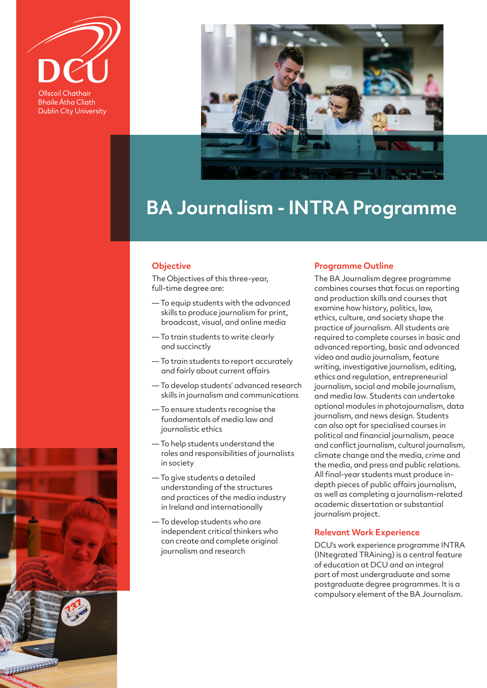

**Bhaile Átha Cliath Dublin City University** 

**REAL PROPERTY** 



# **BA Journalism - INTRA Programme**

## **Objective**

The Objectives of this three-year, full-time degree are:

- To equip students with the advanced skills to produce journalism for print, broadcast, visual, and online media
- To train students to write clearly and succinctly
- To train students to report accurately and fairly about current affairs
- To develop students' advanced research skills in journalism and communications
- To ensure students recognise the fundamentals of media law and journalistic ethics
- To help students understand the roles and responsibilities of journalists in society
- To give students a detailed understanding of the structures and practices of the media industry in Ireland and internationally
- To develop students who are independent critical thinkers who can create and complete original journalism and research

#### **Programme Outline**

The BA Journalism degree programme combines courses that focus on reporting and production skills and courses that examine how history, politics, law, ethics, culture, and society shape the practice of journalism. All students are required to complete courses in basic and advanced reporting, basic and advanced video and audio journalism, feature writing, investigative journalism, editing, ethics and regulation, entrepreneurial journalism, social and mobile journalism, and media law. Students can undertake optional modules in photojournalism, data journalism, and news design. Students can also opt for specialised courses in political and financial journalism, peace and conflict journalism, cultural journalism, climate change and the media, crime and the media, and press and public relations. All final-year students must produce indepth pieces of public affairs journalism, as well as completing a journalism-related academic dissertation or substantial journalism project.

#### **Relevant Work Experience**

DCU's work experience programme INTRA (INtegrated TRAining) is a central feature of education at DCU and an integral part of most undergraduate and some postgraduate degree programmes. It is a compulsory element of the BA Journalism.